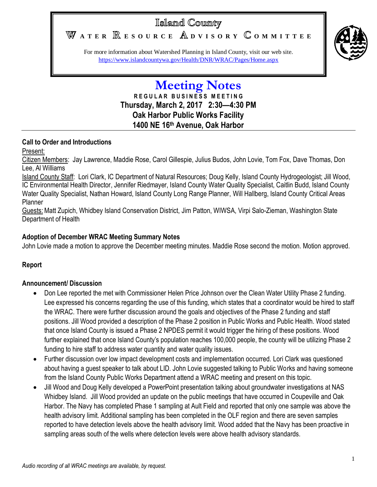# Island County

WATER **RESOURCE** ADVISORY COMMITTEE



For more information about Watershed Planning in Island County, visit our web site. <https://www.islandcountywa.gov/Health/DNR/WRAC/Pages/Home.aspx>

# **Meeting Notes R E G U L A R B U S I N E S S M E E T I N G Thursday, March 2, 2017 2:30—4:30 PM Oak Harbor Public Works Facility 1400 NE 16th Avenue, Oak Harbor**

#### **Call to Order and Introductions**

Present:

Citizen Members: Jay Lawrence, Maddie Rose, Carol Gillespie, Julius Budos, John Lovie, Tom Fox, Dave Thomas, Don Lee, Al Williams

Island County Staff: Lori Clark, IC Department of Natural Resources; Doug Kelly, Island County Hydrogeologist; Jill Wood, IC Environmental Health Director, Jennifer Riedmayer, Island County Water Quality Specialist, Caitlin Budd, Island County Water Quality Specialist, Nathan Howard, Island County Long Range Planner, Will Hallberg, Island County Critical Areas Planner

Guests:Matt Zupich, Whidbey Island Conservation District, Jim Patton, WIWSA, Virpi Salo-Zieman, Washington State Department of Health

#### **Adoption of December WRAC Meeting Summary Notes**

John Lovie made a motion to approve the December meeting minutes. Maddie Rose second the motion. Motion approved.

## **Report**

#### **Announcement/ Discussion**

- Don Lee reported the met with Commissioner Helen Price Johnson over the Clean Water Utility Phase 2 funding. Lee expressed his concerns regarding the use of this funding, which states that a coordinator would be hired to staff the WRAC. There were further discussion around the goals and objectives of the Phase 2 funding and staff positions. Jill Wood provided a description of the Phase 2 position in Public Works and Public Health. Wood stated that once Island County is issued a Phase 2 NPDES permit it would trigger the hiring of these positions. Wood further explained that once Island County's population reaches 100,000 people, the county will be utilizing Phase 2 funding to hire staff to address water quantity and water quality issues.
- Further discussion over low impact development costs and implementation occurred. Lori Clark was questioned about having a guest speaker to talk about LID. John Lovie suggested talking to Public Works and having someone from the Island County Public Works Department attend a WRAC meeting and present on this topic.
- Jill Wood and Doug Kelly developed a PowerPoint presentation talking about groundwater investigations at NAS Whidbey Island. Jill Wood provided an update on the public meetings that have occurred in Coupeville and Oak Harbor. The Navy has completed Phase 1 sampling at Ault Field and reported that only one sample was above the health advisory limit. Additional sampling has been completed in the OLF region and there are seven samples reported to have detection levels above the health advisory limit. Wood added that the Navy has been proactive in sampling areas south of the wells where detection levels were above health advisory standards.